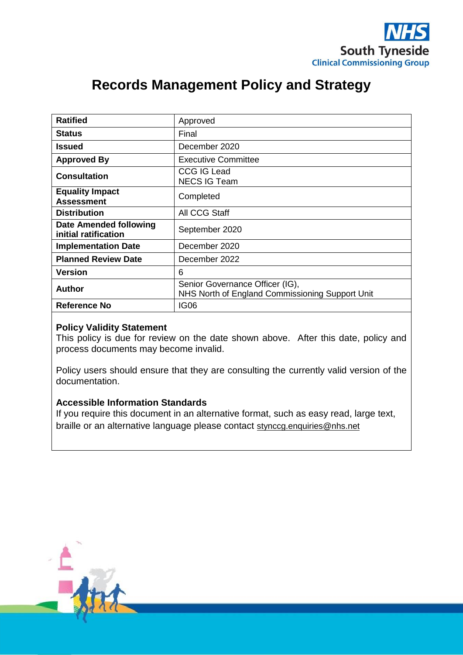

# **Records Management Policy and Strategy**

| <b>Ratified</b>                                | Approved                                                                           |
|------------------------------------------------|------------------------------------------------------------------------------------|
| <b>Status</b>                                  | Final                                                                              |
| Issued                                         | December 2020                                                                      |
| <b>Approved By</b>                             | Executive Committee                                                                |
| <b>Consultation</b>                            | <b>CCG IG Lead</b><br><b>NECS IG Team</b>                                          |
| <b>Equality Impact</b><br><b>Assessment</b>    | Completed                                                                          |
| <b>Distribution</b>                            | All CCG Staff                                                                      |
| Date Amended following<br>initial ratification | September 2020                                                                     |
| <b>Implementation Date</b>                     | December 2020                                                                      |
| <b>Planned Review Date</b>                     | December 2022                                                                      |
| <b>Version</b>                                 | 6                                                                                  |
| <b>Author</b>                                  | Senior Governance Officer (IG),<br>NHS North of England Commissioning Support Unit |
| <b>Reference No</b>                            | <b>IG06</b>                                                                        |

### **Policy Validity Statement**

This policy is due for review on the date shown above. After this date, policy and process documents may become invalid.

Policy users should ensure that they are consulting the currently valid version of the documentation.

## **Accessible Information Standards**

If you require this document in an alternative format, such as easy read, large text, braille or an alternative language please contact [stynccg.enquiries@nhs.net](mailto:stynccg.enquiries@nhs.net)

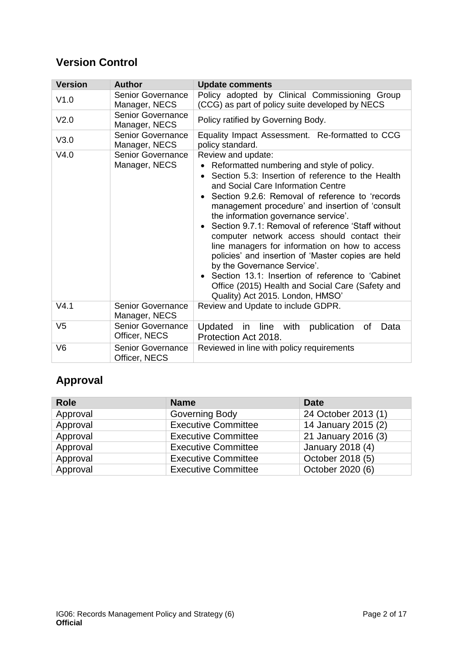# **Version Control**

| <b>Version</b> | <b>Author</b>                             | <b>Update comments</b>                                                                                                                                                                                                                                                                                                                                                                                                                                                                                                                                                                                                                                                                                                                    |
|----------------|-------------------------------------------|-------------------------------------------------------------------------------------------------------------------------------------------------------------------------------------------------------------------------------------------------------------------------------------------------------------------------------------------------------------------------------------------------------------------------------------------------------------------------------------------------------------------------------------------------------------------------------------------------------------------------------------------------------------------------------------------------------------------------------------------|
| V1.0           | <b>Senior Governance</b><br>Manager, NECS | Policy adopted by Clinical Commissioning Group<br>(CCG) as part of policy suite developed by NECS                                                                                                                                                                                                                                                                                                                                                                                                                                                                                                                                                                                                                                         |
| V2.0           | <b>Senior Governance</b><br>Manager, NECS | Policy ratified by Governing Body.                                                                                                                                                                                                                                                                                                                                                                                                                                                                                                                                                                                                                                                                                                        |
| V3.0           | <b>Senior Governance</b><br>Manager, NECS | Equality Impact Assessment. Re-formatted to CCG<br>policy standard.                                                                                                                                                                                                                                                                                                                                                                                                                                                                                                                                                                                                                                                                       |
| V4.0           | <b>Senior Governance</b><br>Manager, NECS | Review and update:<br>Reformatted numbering and style of policy.<br>Section 5.3: Insertion of reference to the Health<br>$\bullet$<br>and Social Care Information Centre<br>Section 9.2.6: Removal of reference to 'records<br>management procedure' and insertion of 'consult<br>the information governance service'.<br>Section 9.7.1: Removal of reference 'Staff without<br>$\bullet$<br>computer network access should contact their<br>line managers for information on how to access<br>policies' and insertion of 'Master copies are held<br>by the Governance Service'.<br>Section 13.1: Insertion of reference to 'Cabinet<br>$\bullet$<br>Office (2015) Health and Social Care (Safety and<br>Quality) Act 2015. London, HMSO' |
| V4.1           | <b>Senior Governance</b><br>Manager, NECS | Review and Update to include GDPR.                                                                                                                                                                                                                                                                                                                                                                                                                                                                                                                                                                                                                                                                                                        |
| V <sub>5</sub> | <b>Senior Governance</b><br>Officer, NECS | publication<br>Updated<br>line<br>with<br>Data<br>οf<br>in<br>Protection Act 2018.                                                                                                                                                                                                                                                                                                                                                                                                                                                                                                                                                                                                                                                        |
| V <sub>6</sub> | <b>Senior Governance</b><br>Officer, NECS | Reviewed in line with policy requirements                                                                                                                                                                                                                                                                                                                                                                                                                                                                                                                                                                                                                                                                                                 |

# **Approval**

| <b>Role</b> | <b>Name</b>                | <b>Date</b>         |
|-------------|----------------------------|---------------------|
| Approval    | <b>Governing Body</b>      | 24 October 2013 (1) |
| Approval    | <b>Executive Committee</b> | 14 January 2015 (2) |
| Approval    | <b>Executive Committee</b> | 21 January 2016 (3) |
| Approval    | <b>Executive Committee</b> | January 2018 (4)    |
| Approval    | <b>Executive Committee</b> | October 2018 (5)    |
| Approval    | <b>Executive Committee</b> | October 2020 (6)    |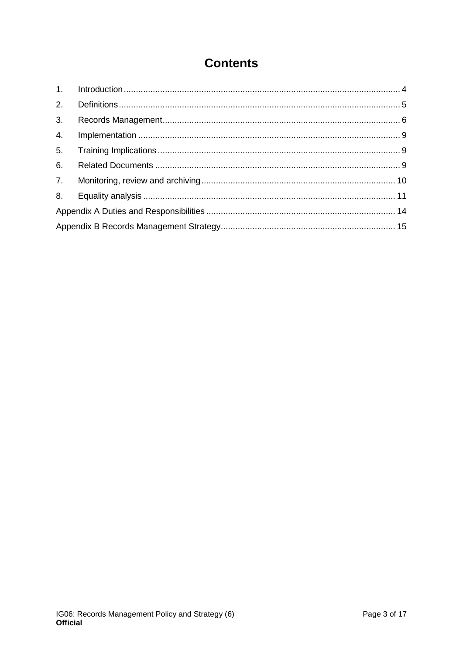# **Contents**

| 2.             |  |
|----------------|--|
| 3 <sub>1</sub> |  |
| 4.             |  |
| 5.             |  |
| 6.             |  |
| 7.             |  |
| 8.             |  |
|                |  |
|                |  |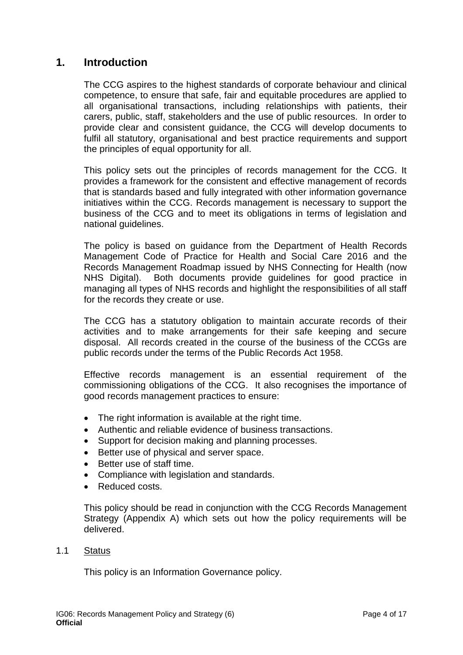# <span id="page-3-0"></span>**1. Introduction**

The CCG aspires to the highest standards of corporate behaviour and clinical competence, to ensure that safe, fair and equitable procedures are applied to all organisational transactions, including relationships with patients, their carers, public, staff, stakeholders and the use of public resources. In order to provide clear and consistent guidance, the CCG will develop documents to fulfil all statutory, organisational and best practice requirements and support the principles of equal opportunity for all.

This policy sets out the principles of records management for the CCG. It provides a framework for the consistent and effective management of records that is standards based and fully integrated with other information governance initiatives within the CCG. Records management is necessary to support the business of the CCG and to meet its obligations in terms of legislation and national guidelines.

The policy is based on guidance from the Department of Health Records Management Code of Practice for Health and Social Care 2016 and the Records Management Roadmap issued by NHS Connecting for Health (now NHS Digital). Both documents provide guidelines for good practice in managing all types of NHS records and highlight the responsibilities of all staff for the records they create or use.

The CCG has a statutory obligation to maintain accurate records of their activities and to make arrangements for their safe keeping and secure disposal. All records created in the course of the business of the CCGs are public records under the terms of the Public Records Act 1958.

Effective records management is an essential requirement of the commissioning obligations of the CCG. It also recognises the importance of good records management practices to ensure:

- The right information is available at the right time.
- Authentic and reliable evidence of business transactions.
- Support for decision making and planning processes.
- Better use of physical and server space.
- Better use of staff time.
- Compliance with legislation and standards.
- Reduced costs.

This policy should be read in conjunction with the CCG Records Management Strategy (Appendix A) which sets out how the policy requirements will be delivered.

#### 1.1 Status

This policy is an Information Governance policy.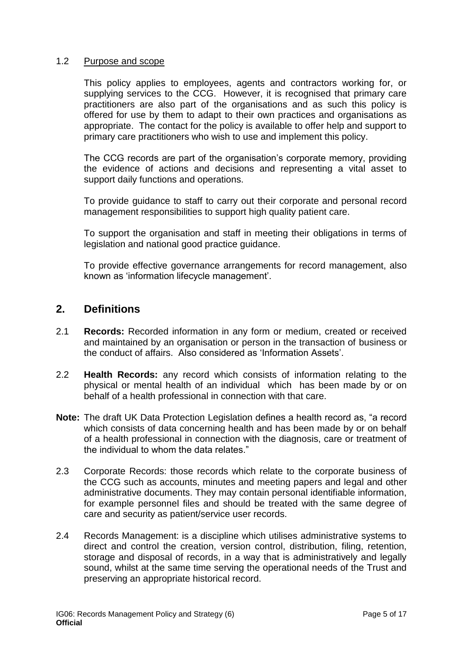### 1.2 Purpose and scope

This policy applies to employees, agents and contractors working for, or supplying services to the CCG. However, it is recognised that primary care practitioners are also part of the organisations and as such this policy is offered for use by them to adapt to their own practices and organisations as appropriate. The contact for the policy is available to offer help and support to primary care practitioners who wish to use and implement this policy.

The CCG records are part of the organisation's corporate memory, providing the evidence of actions and decisions and representing a vital asset to support daily functions and operations.

To provide guidance to staff to carry out their corporate and personal record management responsibilities to support high quality patient care.

To support the organisation and staff in meeting their obligations in terms of legislation and national good practice guidance.

To provide effective governance arrangements for record management, also known as 'information lifecycle management'.

## <span id="page-4-0"></span>**2. Definitions**

- 2.1 **Records:** Recorded information in any form or medium, created or received and maintained by an organisation or person in the transaction of business or the conduct of affairs. Also considered as 'Information Assets'.
- 2.2 **Health Records:** any record which consists of information relating to the physical or mental health of an individual which has been made by or on behalf of a health professional in connection with that care.
- **Note:** The draft UK Data Protection Legislation defines a health record as, "a record which consists of data concerning health and has been made by or on behalf of a health professional in connection with the diagnosis, care or treatment of the individual to whom the data relates."
- 2.3 Corporate Records: those records which relate to the corporate business of the CCG such as accounts, minutes and meeting papers and legal and other administrative documents. They may contain personal identifiable information, for example personnel files and should be treated with the same degree of care and security as patient/service user records.
- 2.4 Records Management: is a discipline which utilises administrative systems to direct and control the creation, version control, distribution, filing, retention, storage and disposal of records, in a way that is administratively and legally sound, whilst at the same time serving the operational needs of the Trust and preserving an appropriate historical record.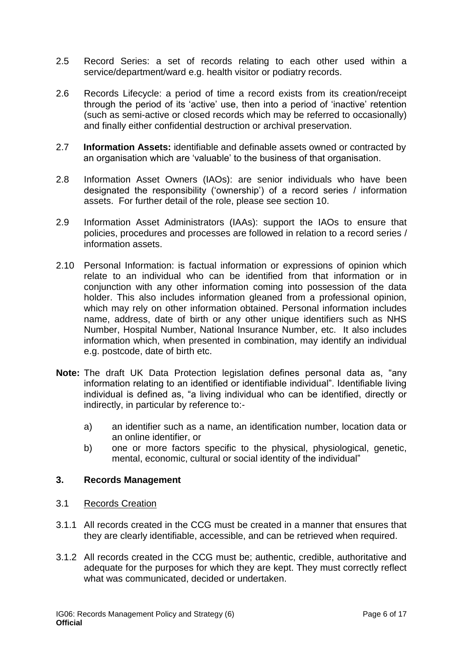- 2.5 Record Series: a set of records relating to each other used within a service/department/ward e.g. health visitor or podiatry records.
- 2.6 Records Lifecycle: a period of time a record exists from its creation/receipt through the period of its 'active' use, then into a period of 'inactive' retention (such as semi-active or closed records which may be referred to occasionally) and finally either confidential destruction or archival preservation.
- 2.7 **Information Assets:** identifiable and definable assets owned or contracted by an organisation which are 'valuable' to the business of that organisation.
- 2.8 Information Asset Owners (IAOs): are senior individuals who have been designated the responsibility ('ownership') of a record series / information assets. For further detail of the role, please see section 10.
- 2.9 Information Asset Administrators (IAAs): support the IAOs to ensure that policies, procedures and processes are followed in relation to a record series / information assets.
- 2.10 Personal Information: is factual information or expressions of opinion which relate to an individual who can be identified from that information or in conjunction with any other information coming into possession of the data holder. This also includes information gleaned from a professional opinion, which may rely on other information obtained. Personal information includes name, address, date of birth or any other unique identifiers such as NHS Number, Hospital Number, National Insurance Number, etc. It also includes information which, when presented in combination, may identify an individual e.g. postcode, date of birth etc.
- **Note:** The draft UK Data Protection legislation defines personal data as, "any information relating to an identified or identifiable individual". Identifiable living individual is defined as, "a living individual who can be identified, directly or indirectly, in particular by reference to:
	- a) an identifier such as a name, an identification number, location data or an online identifier, or
	- b) one or more factors specific to the physical, physiological, genetic, mental, economic, cultural or social identity of the individual"

### <span id="page-5-0"></span>**3. Records Management**

- 3.1 Records Creation
- 3.1.1 All records created in the CCG must be created in a manner that ensures that they are clearly identifiable, accessible, and can be retrieved when required.
- 3.1.2 All records created in the CCG must be; authentic, credible, authoritative and adequate for the purposes for which they are kept. They must correctly reflect what was communicated, decided or undertaken.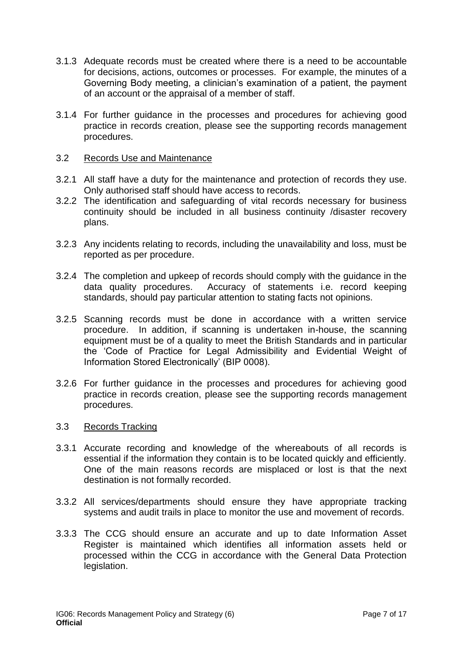- 3.1.3 Adequate records must be created where there is a need to be accountable for decisions, actions, outcomes or processes. For example, the minutes of a Governing Body meeting, a clinician's examination of a patient, the payment of an account or the appraisal of a member of staff.
- 3.1.4 For further guidance in the processes and procedures for achieving good practice in records creation, please see the supporting records management procedures.

### 3.2 Records Use and Maintenance

- 3.2.1 All staff have a duty for the maintenance and protection of records they use. Only authorised staff should have access to records.
- 3.2.2 The identification and safeguarding of vital records necessary for business continuity should be included in all business continuity /disaster recovery plans.
- 3.2.3 Any incidents relating to records, including the unavailability and loss, must be reported as per procedure.
- 3.2.4 The completion and upkeep of records should comply with the guidance in the data quality procedures. Accuracy of statements i.e. record keeping standards, should pay particular attention to stating facts not opinions.
- 3.2.5 Scanning records must be done in accordance with a written service procedure. In addition, if scanning is undertaken in-house, the scanning equipment must be of a quality to meet the British Standards and in particular the 'Code of Practice for Legal Admissibility and Evidential Weight of Information Stored Electronically' (BIP 0008).
- 3.2.6 For further guidance in the processes and procedures for achieving good practice in records creation, please see the supporting records management procedures.

#### 3.3 Records Tracking

- 3.3.1 Accurate recording and knowledge of the whereabouts of all records is essential if the information they contain is to be located quickly and efficiently. One of the main reasons records are misplaced or lost is that the next destination is not formally recorded.
- 3.3.2 All services/departments should ensure they have appropriate tracking systems and audit trails in place to monitor the use and movement of records.
- 3.3.3 The CCG should ensure an accurate and up to date Information Asset Register is maintained which identifies all information assets held or processed within the CCG in accordance with the General Data Protection legislation.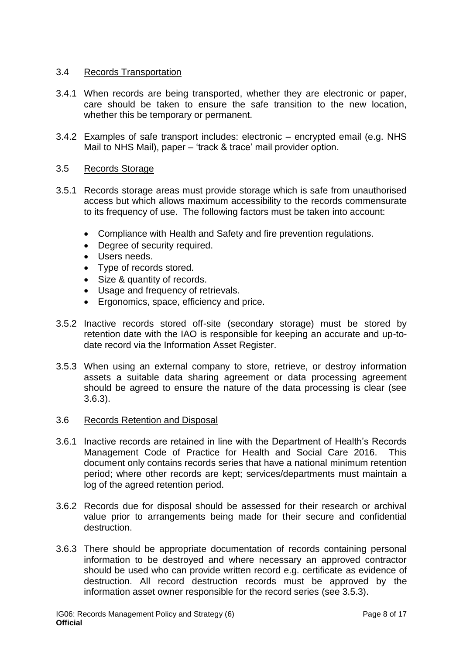### 3.4 Records Transportation

- 3.4.1 When records are being transported, whether they are electronic or paper, care should be taken to ensure the safe transition to the new location, whether this be temporary or permanent.
- 3.4.2 Examples of safe transport includes: electronic encrypted email (e.g. NHS Mail to NHS Mail), paper – 'track & trace' mail provider option.

#### 3.5 Records Storage

- 3.5.1 Records storage areas must provide storage which is safe from unauthorised access but which allows maximum accessibility to the records commensurate to its frequency of use. The following factors must be taken into account:
	- Compliance with Health and Safety and fire prevention regulations.
	- Degree of security required.
	- Users needs.
	- Type of records stored.
	- Size & quantity of records.
	- Usage and frequency of retrievals.
	- Ergonomics, space, efficiency and price.
- 3.5.2 Inactive records stored off-site (secondary storage) must be stored by retention date with the IAO is responsible for keeping an accurate and up-todate record via the Information Asset Register.
- 3.5.3 When using an external company to store, retrieve, or destroy information assets a suitable data sharing agreement or data processing agreement should be agreed to ensure the nature of the data processing is clear (see 3.6.3).

#### 3.6 Records Retention and Disposal

- 3.6.1 Inactive records are retained in line with the Department of Health's Records Management Code of Practice for Health and Social Care 2016. This document only contains records series that have a national minimum retention period; where other records are kept; services/departments must maintain a log of the agreed retention period.
- 3.6.2 Records due for disposal should be assessed for their research or archival value prior to arrangements being made for their secure and confidential destruction.
- 3.6.3 There should be appropriate documentation of records containing personal information to be destroyed and where necessary an approved contractor should be used who can provide written record e.g. certificate as evidence of destruction. All record destruction records must be approved by the information asset owner responsible for the record series (see 3.5.3).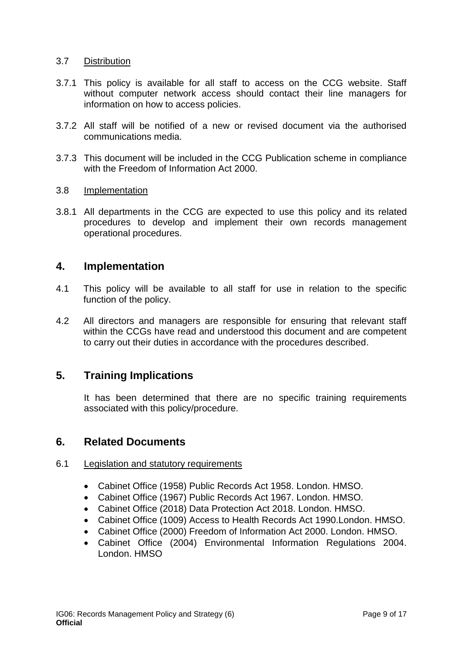### 3.7 Distribution

- 3.7.1 This policy is available for all staff to access on the CCG website. Staff without computer network access should contact their line managers for information on how to access policies.
- 3.7.2 All staff will be notified of a new or revised document via the authorised communications media.
- 3.7.3 This document will be included in the CCG Publication scheme in compliance with the Freedom of Information Act 2000.

#### 3.8 Implementation

3.8.1 All departments in the CCG are expected to use this policy and its related procedures to develop and implement their own records management operational procedures.

## <span id="page-8-0"></span>**4. Implementation**

- 4.1 This policy will be available to all staff for use in relation to the specific function of the policy.
- 4.2 All directors and managers are responsible for ensuring that relevant staff within the CCGs have read and understood this document and are competent to carry out their duties in accordance with the procedures described.

# <span id="page-8-1"></span>**5. Training Implications**

It has been determined that there are no specific training requirements associated with this policy/procedure.

## <span id="page-8-2"></span>**6. Related Documents**

### 6.1 Legislation and statutory requirements

- Cabinet Office (1958) Public Records Act 1958. London. HMSO.
- Cabinet Office (1967) Public Records Act 1967. London. HMSO.
- Cabinet Office (2018) Data Protection Act 2018. London. HMSO.
- Cabinet Office (1009) Access to Health Records Act 1990.London. HMSO.
- Cabinet Office (2000) Freedom of Information Act 2000. London. HMSO.
- Cabinet Office (2004) Environmental Information Regulations 2004. London. HMSO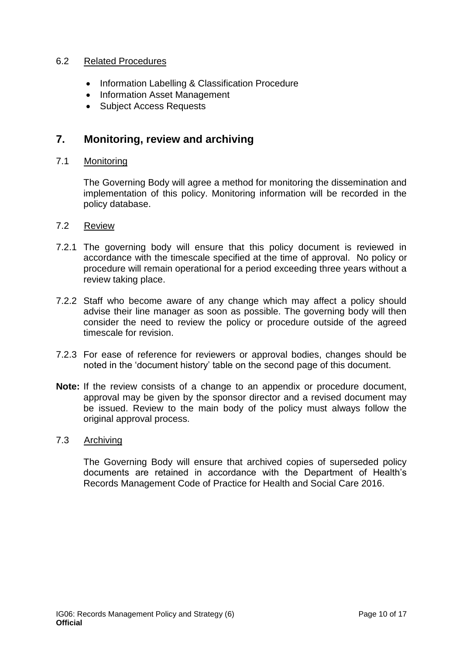### 6.2 Related Procedures

- Information Labelling & Classification Procedure
- Information Asset Management
- Subject Access Requests

# <span id="page-9-0"></span>**7. Monitoring, review and archiving**

### 7.1 Monitoring

The Governing Body will agree a method for monitoring the dissemination and implementation of this policy. Monitoring information will be recorded in the policy database.

#### 7.2 Review

- 7.2.1 The governing body will ensure that this policy document is reviewed in accordance with the timescale specified at the time of approval. No policy or procedure will remain operational for a period exceeding three years without a review taking place.
- 7.2.2 Staff who become aware of any change which may affect a policy should advise their line manager as soon as possible. The governing body will then consider the need to review the policy or procedure outside of the agreed timescale for revision.
- 7.2.3 For ease of reference for reviewers or approval bodies, changes should be noted in the 'document history' table on the second page of this document.
- **Note:** If the review consists of a change to an appendix or procedure document, approval may be given by the sponsor director and a revised document may be issued. Review to the main body of the policy must always follow the original approval process.

### 7.3 Archiving

<span id="page-9-1"></span>The Governing Body will ensure that archived copies of superseded policy documents are retained in accordance with the Department of Health's Records Management Code of Practice for Health and Social Care 2016.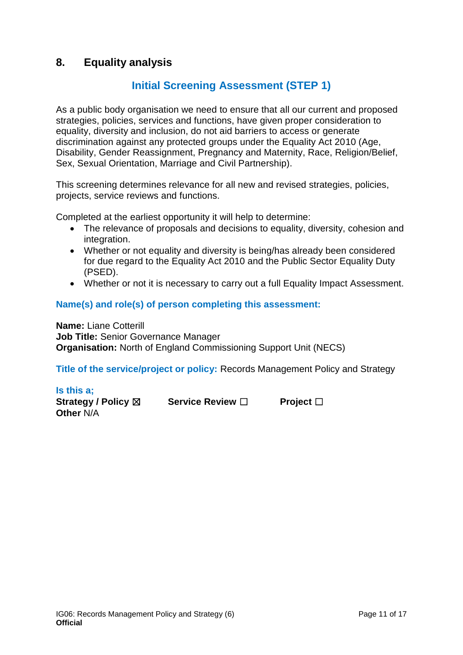# **8. Equality analysis**

# **Initial Screening Assessment (STEP 1)**

As a public body organisation we need to ensure that all our current and proposed strategies, policies, services and functions, have given proper consideration to equality, diversity and inclusion, do not aid barriers to access or generate discrimination against any protected groups under the Equality Act 2010 (Age, Disability, Gender Reassignment, Pregnancy and Maternity, Race, Religion/Belief, Sex, Sexual Orientation, Marriage and Civil Partnership).

This screening determines relevance for all new and revised strategies, policies, projects, service reviews and functions.

Completed at the earliest opportunity it will help to determine:

- The relevance of proposals and decisions to equality, diversity, cohesion and integration.
- Whether or not equality and diversity is being/has already been considered for due regard to the Equality Act 2010 and the Public Sector Equality Duty (PSED).
- Whether or not it is necessary to carry out a full Equality Impact Assessment.

### **Name(s) and role(s) of person completing this assessment:**

**Name:** Liane Cotterill **Job Title:** Senior Governance Manager **Organisation:** North of England Commissioning Support Unit (NECS)

**Title of the service/project or policy:** Records Management Policy and Strategy

#### **Is this a;**

**Strategy / Policy** ☒ **Service Review** ☐ **Project** ☐ **Other** N/A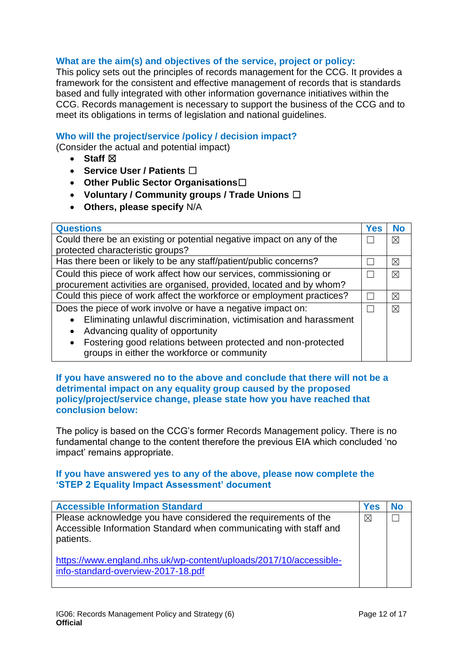### **What are the aim(s) and objectives of the service, project or policy:**

This policy sets out the principles of records management for the CCG. It provides a framework for the consistent and effective management of records that is standards based and fully integrated with other information governance initiatives within the CCG. Records management is necessary to support the business of the CCG and to meet its obligations in terms of legislation and national guidelines.

### **Who will the project/service /policy / decision impact?**

(Consider the actual and potential impact)

- Staff  $⊠$
- **Service User / Patients** ☐
- **Other Public Sector Organisations**☐
- **Voluntary / Community groups / Trade Unions** ☐
- **Others, please specify** N/A

| <b>Questions</b>                                                                                                         | <b>Yes</b> | <b>No</b>   |
|--------------------------------------------------------------------------------------------------------------------------|------------|-------------|
| Could there be an existing or potential negative impact on any of the                                                    |            | ⊠           |
| protected characteristic groups?                                                                                         |            |             |
| Has there been or likely to be any staff/patient/public concerns?                                                        |            | $\boxtimes$ |
| Could this piece of work affect how our services, commissioning or                                                       |            | ⊠           |
| procurement activities are organised, provided, located and by whom?                                                     |            |             |
| Could this piece of work affect the workforce or employment practices?                                                   |            | $\boxtimes$ |
| Does the piece of work involve or have a negative impact on:                                                             |            | $\times$    |
| Eliminating unlawful discrimination, victimisation and harassment                                                        |            |             |
| Advancing quality of opportunity                                                                                         |            |             |
| Fostering good relations between protected and non-protected<br>$\bullet$<br>groups in either the workforce or community |            |             |

#### **If you have answered no to the above and conclude that there will not be a detrimental impact on any equality group caused by the proposed policy/project/service change, please state how you have reached that conclusion below:**

The policy is based on the CCG's former Records Management policy. There is no fundamental change to the content therefore the previous EIA which concluded 'no impact' remains appropriate.

### **If you have answered yes to any of the above, please now complete the 'STEP 2 Equality Impact Assessment' document**

| <b>Accessible Information Standard</b>                                                                                                           | Yes         |  |
|--------------------------------------------------------------------------------------------------------------------------------------------------|-------------|--|
| Please acknowledge you have considered the requirements of the<br>Accessible Information Standard when communicating with staff and<br>patients. | $\boxtimes$ |  |
| https://www.england.nhs.uk/wp-content/uploads/2017/10/accessible-<br>info-standard-overview-2017-18.pdf                                          |             |  |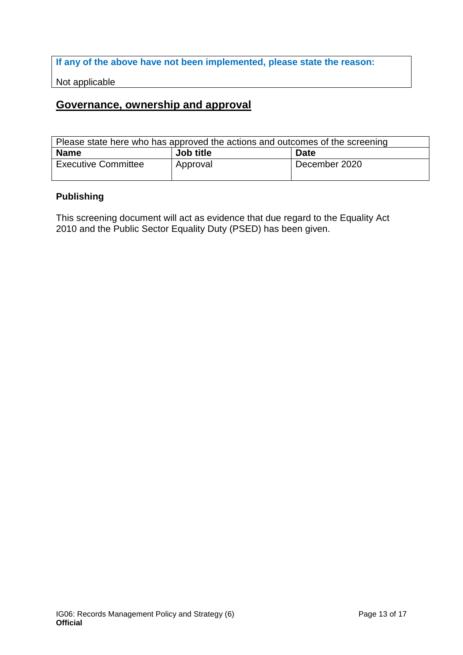**If any of the above have not been implemented, please state the reason:**

Not applicable

# **Governance, ownership and approval**

| Please state here who has approved the actions and outcomes of the screening |           |               |
|------------------------------------------------------------------------------|-----------|---------------|
| <b>Name</b>                                                                  | Job title | <b>Date</b>   |
| <b>Executive Committee</b>                                                   | Approval  | December 2020 |

## **Publishing**

This screening document will act as evidence that due regard to the Equality Act 2010 and the Public Sector Equality Duty (PSED) has been given.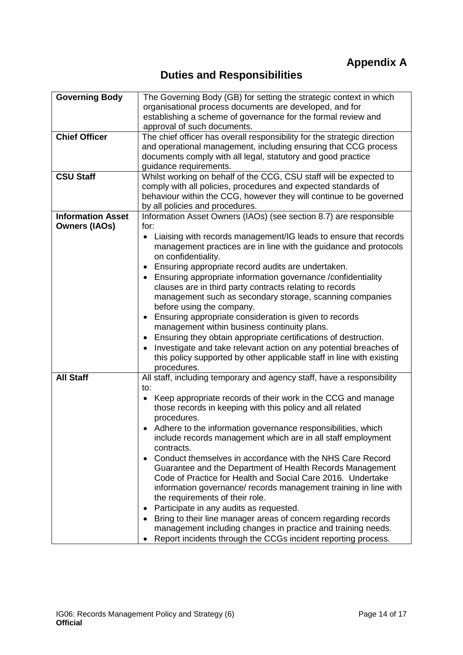# **Duties and Responsibilities**

<span id="page-13-0"></span>

| <b>Governing Body</b>    | The Governing Body (GB) for setting the strategic context in which<br>organisational process documents are developed, and for<br>establishing a scheme of governance for the formal review and<br>approval of such documents.                                                                                                                                                                                                                                                                                  |
|--------------------------|----------------------------------------------------------------------------------------------------------------------------------------------------------------------------------------------------------------------------------------------------------------------------------------------------------------------------------------------------------------------------------------------------------------------------------------------------------------------------------------------------------------|
| <b>Chief Officer</b>     | The chief officer has overall responsibility for the strategic direction<br>and operational management, including ensuring that CCG process<br>documents comply with all legal, statutory and good practice<br>guidance requirements.                                                                                                                                                                                                                                                                          |
| <b>CSU Staff</b>         | Whilst working on behalf of the CCG, CSU staff will be expected to<br>comply with all policies, procedures and expected standards of<br>behaviour within the CCG, however they will continue to be governed<br>by all policies and procedures.                                                                                                                                                                                                                                                                 |
| <b>Information Asset</b> | Information Asset Owners (IAOs) (see section 8.7) are responsible                                                                                                                                                                                                                                                                                                                                                                                                                                              |
| <b>Owners (IAOs)</b>     | for:<br>Liaising with records management/IG leads to ensure that records<br>$\bullet$<br>management practices are in line with the guidance and protocols<br>on confidentiality.                                                                                                                                                                                                                                                                                                                               |
|                          | Ensuring appropriate record audits are undertaken.<br>$\bullet$<br>Ensuring appropriate information governance /confidentiality<br>$\bullet$<br>clauses are in third party contracts relating to records<br>management such as secondary storage, scanning companies<br>before using the company.<br>Ensuring appropriate consideration is given to records<br>$\bullet$<br>management within business continuity plans.<br>Ensuring they obtain appropriate certifications of destruction.<br>$\bullet$       |
|                          | Investigate and take relevant action on any potential breaches of<br>$\bullet$<br>this policy supported by other applicable staff in line with existing<br>procedures.                                                                                                                                                                                                                                                                                                                                         |
| <b>All Staff</b>         | All staff, including temporary and agency staff, have a responsibility<br>to:<br>Keep appropriate records of their work in the CCG and manage<br>those records in keeping with this policy and all related<br>procedures.<br>Adhere to the information governance responsibilities, which<br>include records management which are in all staff employment<br>contracts.<br>Conduct themselves in accordance with the NHS Care Record<br>$\bullet$<br>Guarantee and the Department of Health Records Management |
|                          | Code of Practice for Health and Social Care 2016. Undertake<br>information governance/ records management training in line with<br>the requirements of their role.<br>Participate in any audits as requested.<br>٠<br>Bring to their line manager areas of concern regarding records<br>management including changes in practice and training needs.<br>Report incidents through the CCGs incident reporting process.                                                                                          |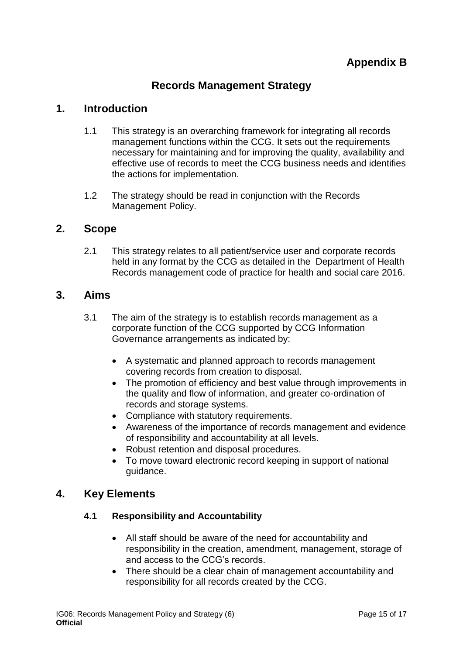# **Records Management Strategy**

# <span id="page-14-0"></span>**1. Introduction**

- 1.1 This strategy is an overarching framework for integrating all records management functions within the CCG. It sets out the requirements necessary for maintaining and for improving the quality, availability and effective use of records to meet the CCG business needs and identifies the actions for implementation.
- 1.2 The strategy should be read in conjunction with the Records Management Policy.

## **2. Scope**

2.1 This strategy relates to all patient/service user and corporate records held in any format by the CCG as detailed in the Department of Health Records management code of practice for health and social care 2016.

## **3. Aims**

- 3.1 The aim of the strategy is to establish records management as a corporate function of the CCG supported by CCG Information Governance arrangements as indicated by:
	- A systematic and planned approach to records management covering records from creation to disposal.
	- The promotion of efficiency and best value through improvements in the quality and flow of information, and greater co-ordination of records and storage systems.
	- Compliance with statutory requirements.
	- Awareness of the importance of records management and evidence of responsibility and accountability at all levels.
	- Robust retention and disposal procedures.
	- To move toward electronic record keeping in support of national guidance.

## **4. Key Elements**

## **4.1 Responsibility and Accountability**

- All staff should be aware of the need for accountability and responsibility in the creation, amendment, management, storage of and access to the CCG's records.
- There should be a clear chain of management accountability and responsibility for all records created by the CCG.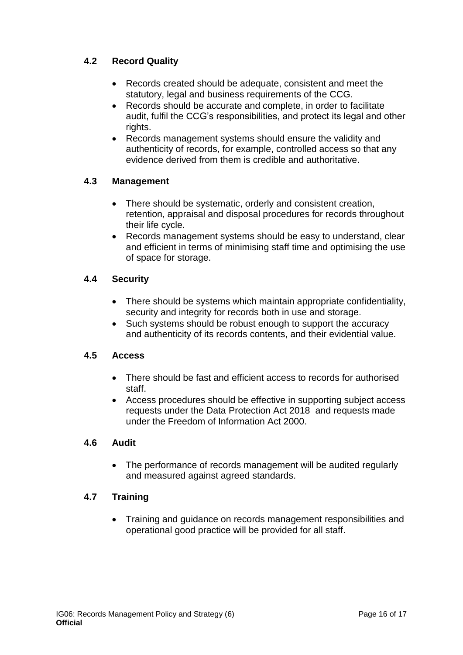# **4.2 Record Quality**

- Records created should be adequate, consistent and meet the statutory, legal and business requirements of the CCG.
- Records should be accurate and complete, in order to facilitate audit, fulfil the CCG's responsibilities, and protect its legal and other rights.
- Records management systems should ensure the validity and authenticity of records, for example, controlled access so that any evidence derived from them is credible and authoritative.

## **4.3 Management**

- There should be systematic, orderly and consistent creation, retention, appraisal and disposal procedures for records throughout their life cycle.
- Records management systems should be easy to understand, clear and efficient in terms of minimising staff time and optimising the use of space for storage.

## **4.4 Security**

- There should be systems which maintain appropriate confidentiality, security and integrity for records both in use and storage.
- Such systems should be robust enough to support the accuracy and authenticity of its records contents, and their evidential value.

## **4.5 Access**

- There should be fast and efficient access to records for authorised staff.
- Access procedures should be effective in supporting subject access requests under the Data Protection Act 2018 and requests made under the Freedom of Information Act 2000.

### **4.6 Audit**

 The performance of records management will be audited regularly and measured against agreed standards.

## **4.7 Training**

 Training and guidance on records management responsibilities and operational good practice will be provided for all staff.